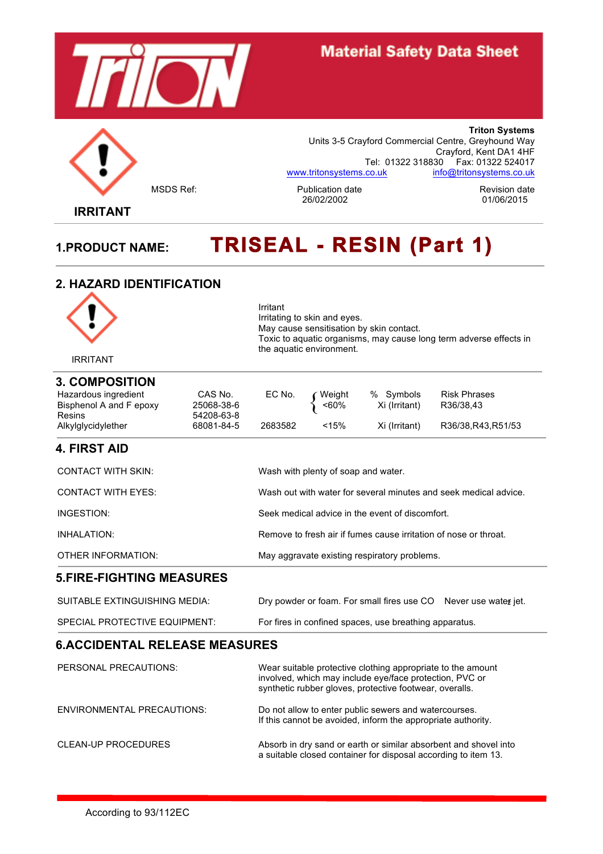



**Triton Systems** Units 3-5 Crayford Commercial Centre, Greyhound Way Crayford, Kent DA1 4HF Tel: 01322 318830 Fax: 01322 524017 www.tritonsystems.co.uk info@tritonsystems.co.uk

MSDS Ref: The Publication date<br>26/02/2002 26/02/2002 01/06/2015

 **IRRITANT**

# **1.PRODUCT NAME: TRISEAL - RESIN (Part 1)**

### **2. HAZARD IDENTIFICATION**



### **5.FIRE-FIGHTING MEASURES**

| SUITABLE EXTINGUISHING MEDIA: | Dry powder or foam. For small fires use CO Never use water jet. |  |
|-------------------------------|-----------------------------------------------------------------|--|
| SPECIAL PROTECTIVE EQUIPMENT: | For fires in confined spaces, use breathing apparatus.          |  |

OTHER INFORMATION: May aggravate existing respiratory problems.

### **6.ACCIDENTAL RELEASE MEASURES**

| PERSONAL PRECAUTIONS:      | Wear suitable protective clothing appropriate to the amount<br>involved, which may include eye/face protection, PVC or<br>synthetic rubber gloves, protective footwear, overalls. |
|----------------------------|-----------------------------------------------------------------------------------------------------------------------------------------------------------------------------------|
| ENVIRONMENTAL PRECAUTIONS: | Do not allow to enter public sewers and watercourses.<br>If this cannot be avoided, inform the appropriate authority.                                                             |
| CLEAN-UP PROCEDURES        | Absorb in dry sand or earth or similar absorbent and shovel into<br>a suitable closed container for disposal according to item 13.                                                |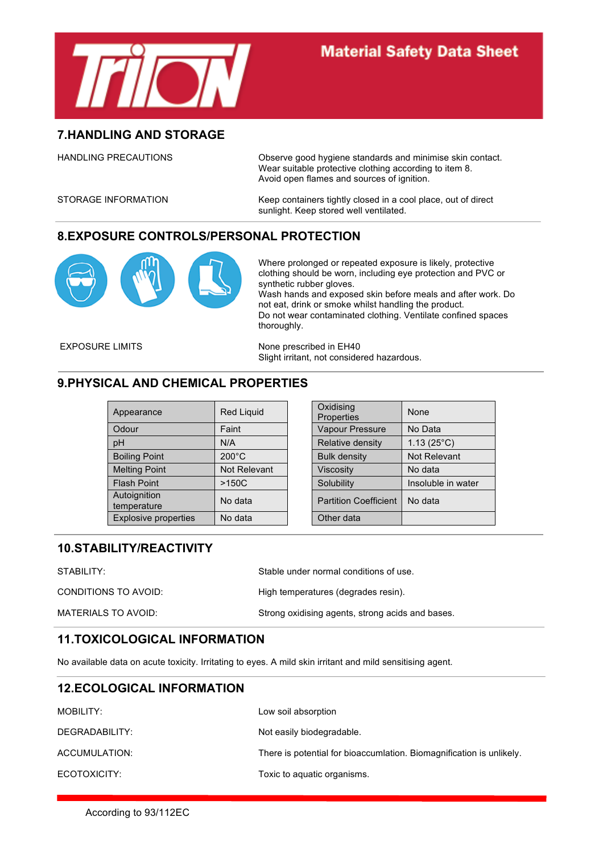

### **7.HANDLING AND STORAGE**

HANDLING PRECAUTIONS **Observe good hygiene standards and minimise skin contact.** Wear suitable protective clothing according to item 8. Avoid open flames and sources of ignition.

STORAGE INFORMATION Keep containers tightly closed in a cool place, out of direct sunlight. Keep stored well ventilated.

### **8.EXPOSURE CONTROLS/PERSONAL PROTECTION**



Where prolonged or repeated exposure is likely, protective clothing should be worn, including eye protection and PVC or synthetic rubber gloves.

Wash hands and exposed skin before meals and after work. Do not eat, drink or smoke whilst handling the product. Do not wear contaminated clothing. Ventilate confined spaces thoroughly.

EXPOSURE LIMITS None prescribed in EH40 Slight irritant, not considered hazardous.

### **9.PHYSICAL AND CHEMICAL PROPERTIES**

| Appearance                  | <b>Red Liquid</b> | Oxidising<br>Properties      | None                |
|-----------------------------|-------------------|------------------------------|---------------------|
| Odour                       | Faint             | Vapour Pressure              | No Data             |
| pH                          | N/A               | Relative density             | $1.13(25^{\circ}C)$ |
| <b>Boiling Point</b>        | $200^{\circ}$ C   | <b>Bulk density</b>          | Not Relevant        |
| <b>Melting Point</b>        | Not Relevant      | <b>Viscosity</b>             | No data             |
| <b>Flash Point</b>          | $>150C$           | Solubility                   | Insoluble in water  |
| Autoignition<br>temperature | No data           | <b>Partition Coefficient</b> | No data             |
| <b>Explosive properties</b> | No data           | Other data                   |                     |

| Oxidising<br>Properties      | None                |
|------------------------------|---------------------|
| <b>Vapour Pressure</b>       | No Data             |
| Relative density             | $1.13(25^{\circ}C)$ |
| <b>Bulk density</b>          | <b>Not Relevant</b> |
| <b>Viscosity</b>             | No data             |
| Solubility                   | Insoluble in water  |
| <b>Partition Coefficient</b> | No data             |
| Other data                   |                     |

### **10.STABILITY/REACTIVITY**

STABILITY: STABILITY: Stable under normal conditions of use.

CONDITIONS TO AVOID: High temperatures (degrades resin).

MATERIALS TO AVOID: Strong oxidising agents, strong acids and bases.

### **11.TOXICOLOGICAL INFORMATION**

No available data on acute toxicity. Irritating to eyes. A mild skin irritant and mild sensitising agent.

### **12.ECOLOGICAL INFORMATION**

| MOBILITY:      | Low soil absorption                                                  |
|----------------|----------------------------------------------------------------------|
| DEGRADABILITY: | Not easily biodegradable.                                            |
| ACCUMULATION:  | There is potential for bioaccumlation. Biomagnification is unlikely. |
| ECOTOXICITY:   | Toxic to aquatic organisms.                                          |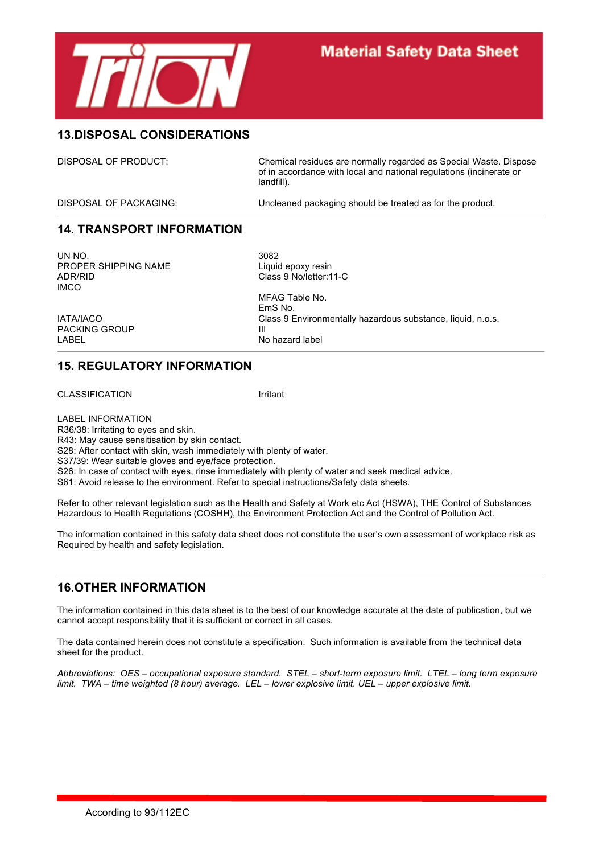

### **13.DISPOSAL CONSIDERATIONS**

DISPOSAL OF PRODUCT: Chemical residues are normally regarded as Special Waste. Dispose of in accordance with local and national regulations (incinerate or landfill).

DISPOSAL OF PACKAGING: Uncleaned packaging should be treated as for the product.

### **14. TRANSPORT INFORMATION**

UN NO. 3082 PROPER SHIPPING NAME Liquid epoxy resin ADR/RID Class 9 No/letter:11-C IMCO

PACKING GROUP III

MFAG Table No. EmS No. IATA/IACO Class 9 Environmentally hazardous substance, liquid, n.o.s. No hazard label

### **15. REGULATORY INFORMATION**

CLASSIFICATION Irritant

LABEL INFORMATION R36/38: Irritating to eyes and skin. R43: May cause sensitisation by skin contact. S28: After contact with skin, wash immediately with plenty of water. S37/39: Wear suitable gloves and eye/face protection. S26: In case of contact with eyes, rinse immediately with plenty of water and seek medical advice. S61: Avoid release to the environment. Refer to special instructions/Safety data sheets.

Refer to other relevant legislation such as the Health and Safety at Work etc Act (HSWA), THE Control of Substances Hazardous to Health Regulations (COSHH), the Environment Protection Act and the Control of Pollution Act.

The information contained in this safety data sheet does not constitute the user's own assessment of workplace risk as Required by health and safety legislation.

### **16.OTHER INFORMATION**

The information contained in this data sheet is to the best of our knowledge accurate at the date of publication, but we cannot accept responsibility that it is sufficient or correct in all cases.

The data contained herein does not constitute a specification. Such information is available from the technical data sheet for the product.

*Abbreviations: OES – occupational exposure standard. STEL – short-term exposure limit. LTEL – long term exposure limit. TWA – time weighted (8 hour) average. LEL – lower explosive limit. UEL – upper explosive limit.*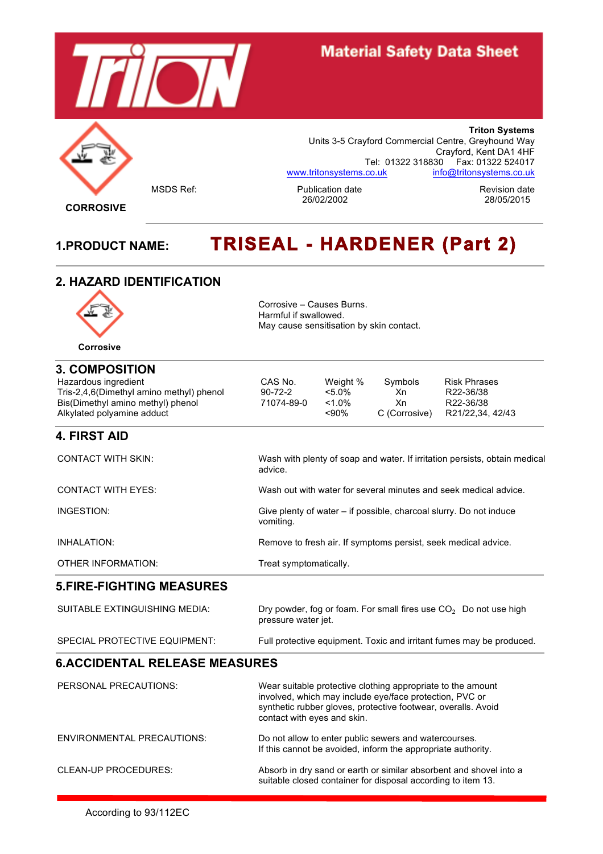

**Triton Systems** Units 3-5 Crayford Commercial Centre, Greyhound Way Crayford, Kent DA1 4HF Tel: 01322 318830 Fax: 01322 524017 www.tritonsystems.co.uk info@tritonsystems.co.uk

MSDS Ref: The Publication date<br>26/02/2002 28/05/2015 28/05/2015 26/02/2002 28/05/2015

**CORROSIVE**

# **1.PRODUCT NAME: TRISEAL - HARDENER (Part 2)**

### **2. HAZARD IDENTIFICATION**



Corrosive – Causes Burns. Harmful if swallowed. May cause sensitisation by skin contact.

| <b>3. COMPOSITION</b>                    |               |           |               |                                                                            |
|------------------------------------------|---------------|-----------|---------------|----------------------------------------------------------------------------|
| Hazardous ingredient                     | CAS No.       | Weight %  | Symbols       | <b>Risk Phrases</b>                                                        |
| Tris-2,4,6(Dimethyl amino methyl) phenol | $90 - 72 - 2$ | $< 5.0\%$ | Xn            | R22-36/38                                                                  |
| Bis(Dimethyl amino methyl) phenol        | 71074-89-0    | $< 1.0\%$ | Xn            | R22-36/38                                                                  |
| Alkylated polyamine adduct               |               | $~<$ 90%  | C (Corrosive) | R21/22.34, 42/43                                                           |
| <b>4. FIRST AID</b>                      |               |           |               |                                                                            |
| <b>CONTACT WITH SKIN:</b>                |               |           |               | Wash with plenty of soap and water. If irritation persists, obtain medical |

|                    | advice.                                                                         |
|--------------------|---------------------------------------------------------------------------------|
| CONTACT WITH EYES: | Wash out with water for several minutes and seek medical advice.                |
| INGESTION:         | Give plenty of water – if possible, charcoal slurry. Do not induce<br>vomiting. |
| INHALATION:        | Remove to fresh air. If symptoms persist, seek medical advice.                  |

OTHER INFORMATION: Treat symptomatically.

### **5.FIRE-FIGHTING MEASURES**

| SUITABLE EXTINGUISHING MEDIA: | Dry powder, fog or foam. For small fires use $CO2$ Do not use high<br>pressure water jet. |
|-------------------------------|-------------------------------------------------------------------------------------------|
| SPECIAL PROTECTIVE EQUIPMENT: | Full protective equipment. Toxic and irritant fumes may be produced.                      |

### **6.ACCIDENTAL RELEASE MEASURES**

| PERSONAL PRECAUTIONS:             | Wear suitable protective clothing appropriate to the amount<br>involved, which may include eye/face protection, PVC or<br>synthetic rubber gloves, protective footwear, overalls. Avoid<br>contact with eyes and skin. |
|-----------------------------------|------------------------------------------------------------------------------------------------------------------------------------------------------------------------------------------------------------------------|
| <b>ENVIRONMENTAL PRECAUTIONS:</b> | Do not allow to enter public sewers and watercourses.<br>If this cannot be avoided, inform the appropriate authority.                                                                                                  |
| CLEAN-UP PROCEDURES:              | Absorb in dry sand or earth or similar absorbent and shovel into a<br>suitable closed container for disposal according to item 13.                                                                                     |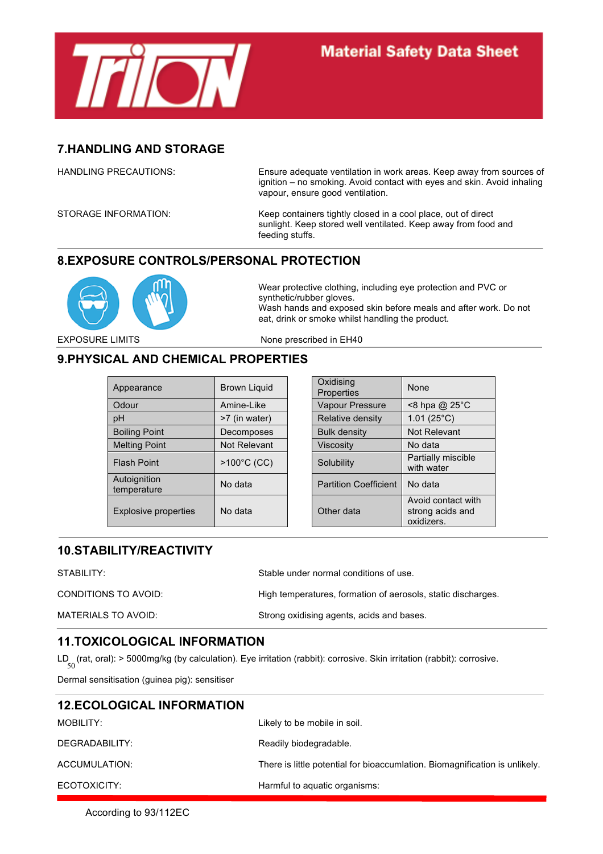

### **7.HANDLING AND STORAGE**

HANDLING PRECAUTIONS: Ensure adequate ventilation in work areas. Keep away from sources of ignition – no smoking. Avoid contact with eyes and skin. Avoid inhaling vapour, ensure good ventilation.

STORAGE INFORMATION: Keep containers tightly closed in a cool place, out of direct sunlight. Keep stored well ventilated. Keep away from food and feeding stuffs.

### **8.EXPOSURE CONTROLS/PERSONAL PROTECTION**



Wear protective clothing, including eye protection and PVC or synthetic/rubber gloves. Wash hands and exposed skin before meals and after work. Do not eat, drink or smoke whilst handling the product.

EXPOSURE LIMITS None prescribed in EH40

### **9.PHYSICAL AND CHEMICAL PROPERTIES**

| Appearance                  | Brown Liquid  | Oxidising<br>Properties      | <b>None</b>                                          |
|-----------------------------|---------------|------------------------------|------------------------------------------------------|
| Odour                       | Amine-Like    | Vapour Pressure              | $<$ 8 hpa @ 25 $\degree$ C                           |
| pH                          | >7 (in water) | Relative density             | $1.01(25^{\circ}C)$                                  |
| <b>Boiling Point</b>        | Decomposes    | <b>Bulk density</b>          | Not Relevant                                         |
| <b>Melting Point</b>        | Not Relevant  | <b>Viscosity</b>             | No data                                              |
| <b>Flash Point</b>          | >100°C (CC)   | Solubility                   | Partially miscible<br>with water                     |
| Autoignition<br>temperature | No data       | <b>Partition Coefficient</b> | No data                                              |
| Explosive properties        | No data       | Other data                   | Avoid contact with<br>strong acids and<br>oxidizers. |

| Oxidising<br>Properties      | None                                                 |
|------------------------------|------------------------------------------------------|
| <b>Vapour Pressure</b>       | <8 hpa @ 25°C                                        |
| Relative density             | 1.01 $(25^{\circ}C)$                                 |
| <b>Bulk density</b>          | Not Relevant                                         |
| <b>Viscosity</b>             | No data                                              |
| Solubility                   | Partially miscible<br>with water                     |
| <b>Partition Coefficient</b> | No data                                              |
| Other data                   | Avoid contact with<br>strong acids and<br>oxidizers. |

### **10.STABILITY/REACTIVITY**

STABILITY: STABILITY: Stable under normal conditions of use.

| CONDITIONS TO AVOID: | High temperatures, formation of aerosols, static discharges. |
|----------------------|--------------------------------------------------------------|
| MATERIALS TO AVOID:  | Strong oxidising agents, acids and bases.                    |

### **11.TOXICOLOGICAL INFORMATION**

LD (rat, oral): > 5000mg/kg (by calculation). Eye irritation (rabbit): corrosive. Skin irritation (rabbit): corrosive.<br>
50

Dermal sensitisation (guinea pig): sensitiser

| <b>12.ECOLOGICAL INFORMATION</b> |                                                                             |
|----------------------------------|-----------------------------------------------------------------------------|
| MOBILITY:                        | Likely to be mobile in soil.                                                |
| DEGRADABILITY:                   | Readily biodegradable.                                                      |
| ACCUMULATION:                    | There is little potential for bioaccumlation. Biomagnification is unlikely. |
| ECOTOXICITY:                     | Harmful to aquatic organisms:                                               |

According to 93/112EC